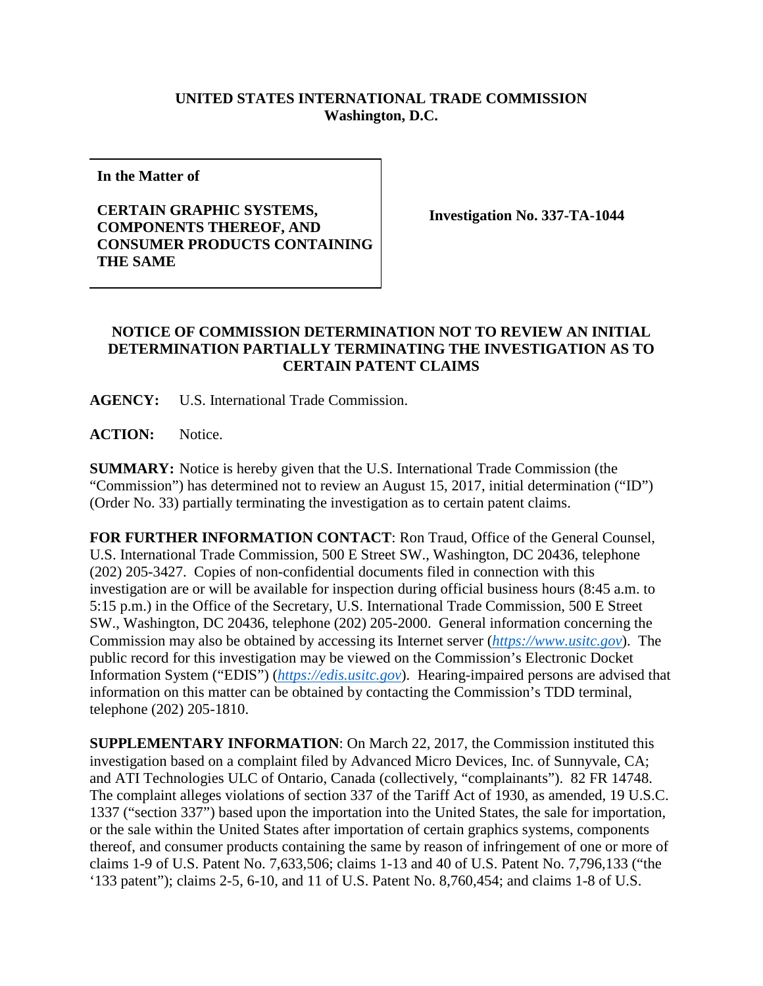## **UNITED STATES INTERNATIONAL TRADE COMMISSION Washington, D.C.**

**In the Matter of**

## **CERTAIN GRAPHIC SYSTEMS, COMPONENTS THEREOF, AND CONSUMER PRODUCTS CONTAINING THE SAME**

**Investigation No. 337-TA-1044**

## **NOTICE OF COMMISSION DETERMINATION NOT TO REVIEW AN INITIAL DETERMINATION PARTIALLY TERMINATING THE INVESTIGATION AS TO CERTAIN PATENT CLAIMS**

**AGENCY:** U.S. International Trade Commission.

**ACTION:** Notice.

**SUMMARY:** Notice is hereby given that the U.S. International Trade Commission (the "Commission") has determined not to review an August 15, 2017, initial determination ("ID") (Order No. 33) partially terminating the investigation as to certain patent claims.

**FOR FURTHER INFORMATION CONTACT**: Ron Traud, Office of the General Counsel, U.S. International Trade Commission, 500 E Street SW., Washington, DC 20436, telephone (202) 205-3427. Copies of non-confidential documents filed in connection with this investigation are or will be available for inspection during official business hours (8:45 a.m. to 5:15 p.m.) in the Office of the Secretary, U.S. International Trade Commission, 500 E Street SW., Washington, DC 20436, telephone (202) 205-2000. General information concerning the Commission may also be obtained by accessing its Internet server (*[https://www.usitc.gov](https://www.usitc.gov/)*). The public record for this investigation may be viewed on the Commission's Electronic Docket Information System ("EDIS") (*[https://edis.usitc.gov](https://edis.usitc.gov/)*). Hearing-impaired persons are advised that information on this matter can be obtained by contacting the Commission's TDD terminal, telephone (202) 205-1810.

**SUPPLEMENTARY INFORMATION**: On March 22, 2017, the Commission instituted this investigation based on a complaint filed by Advanced Micro Devices, Inc. of Sunnyvale, CA; and ATI Technologies ULC of Ontario, Canada (collectively, "complainants"). 82 FR 14748. The complaint alleges violations of section 337 of the Tariff Act of 1930, as amended, 19 U.S.C. 1337 ("section 337") based upon the importation into the United States, the sale for importation, or the sale within the United States after importation of certain graphics systems, components thereof, and consumer products containing the same by reason of infringement of one or more of claims 1-9 of U.S. Patent No. 7,633,506; claims 1-13 and 40 of U.S. Patent No. 7,796,133 ("the '133 patent"); claims 2-5, 6-10, and 11 of U.S. Patent No. 8,760,454; and claims 1-8 of U.S.